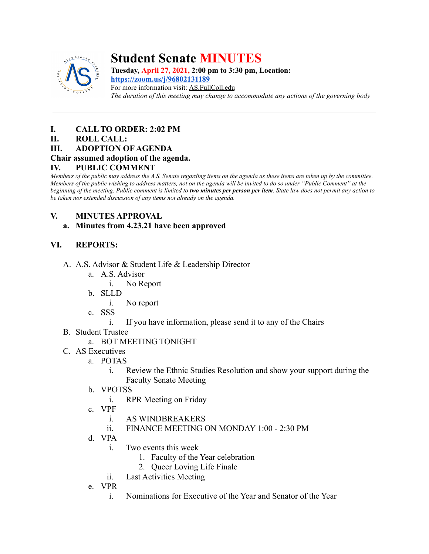

# **Student Senate MINUTES**

**Tuesday, April 27, 2021, 2:00 pm to 3:30 pm, Location:**

**<https://zoom.us/j/96802131189>** For more information visit: AS.FullColl.edu *The duration of this meeting may change to accommodate any actions of the governing body*

### **I. CALL TO ORDER: 2:02 PM**

### **II. ROLL CALL:**

**III. ADOPTION OF AGENDA**

### **Chair assumed adoption of the agenda.**

### **IV. PUBLIC COMMENT**

*Members of the public may address the A.S. Senate regarding items on the agenda as these items are taken up by the committee. Members of the public wishing to address matters, not on the agenda will be invited to do so under "Public Comment" at the beginning of the meeting. Public comment is limited to two minutes per person per item. State law does not permit any action to be taken nor extended discussion of any items not already on the agenda.*

### **V. MINUTES APPROVAL**

### **a. Minutes from 4.23.21 have been approved**

### **VI. REPORTS:**

- A. A.S. Advisor & Student Life & Leadership Director
	- a. A.S. Advisor
		- i. No Report
	- b. SLLD
		- i. No report
	- c. SSS
		- i. If you have information, please send it to any of the Chairs
- B. Student Trustee
	- a. BOT MEETING TONIGHT
- C. AS Executives
	- a. POTAS
		- i. Review the Ethnic Studies Resolution and show your support during the Faculty Senate Meeting
	- b. VPOTSS
		- i. RPR Meeting on Friday
	- c. VPF
		- i. AS WINDBREAKERS
		- ii. FINANCE MEETING ON MONDAY 1:00 2:30 PM
	- d. VPA
		- i. Two events this week
			- 1. Faculty of the Year celebration
			- 2. Queer Loving Life Finale
		- ii. Last Activities Meeting
	- e. VPR
		- i. Nominations for Executive of the Year and Senator of the Year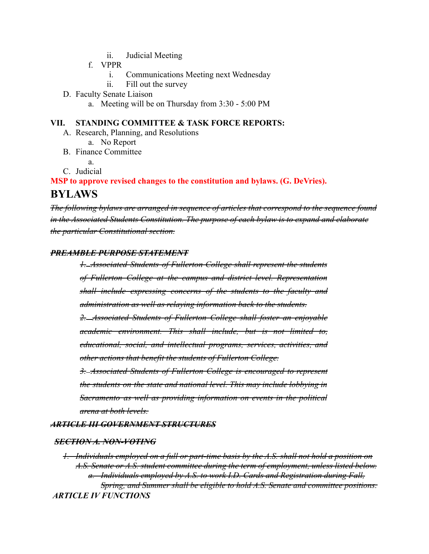- ii. Judicial Meeting
- f. VPPR
	- i. Communications Meeting next Wednesday
	- ii. Fill out the survey
- D. Faculty Senate Liaison
	- a. Meeting will be on Thursday from 3:30 5:00 PM

#### **VII. STANDING COMMITTEE & TASK FORCE REPORTS:**

- A. Research, Planning, and Resolutions
	- a. No Report
- B. Finance Committee
	- a.
- C. Judicial

**MSP to approve revised changes to the constitution and bylaws. (G. DeVries).**

### **BYLAWS**

*The following bylaws are arranged in sequence of articles that correspond to the sequence found in the Associated Students Constitution. The purpose of each bylaw is to expand and elaborate the particular Constitutional section.*

#### *PREAMBLE PURPOSE STATEMENT*

*1. Associated Students of Fullerton College shall represent the students of Fullerton College at the campus and district level. Representation shall include expressing concerns of the students to the faculty and administration as well as relaying information back to the students.*

*2. Associated Students of Fullerton College shall foster an enjoyable academic environment. This shall include, but is not limited to, educational, social, and intellectual programs, services, activities, and other actions that benefit the students of Fullerton College.*

*3. Associated Students of Fullerton College is encouraged to represent the students on the state and national level. This may include lobbying in Sacramento as well as providing information on events in the political arena at both levels.*

#### *ARTICLE III GOVERNMENT STRUCTURES*

#### *SECTION A. NON-VOTING*

*1. Individuals employed on a full or part-time basis by the A.S. shall not hold a position on A.S. Senate or A.S. student committee during the term of employment, unless listed below. a. Individuals employed by A.S. to work I.D. Cards and Registration during Fall, Spring, and Summer shall be eligible to hold A.S. Senate and committee positions. ARTICLE IV FUNCTIONS*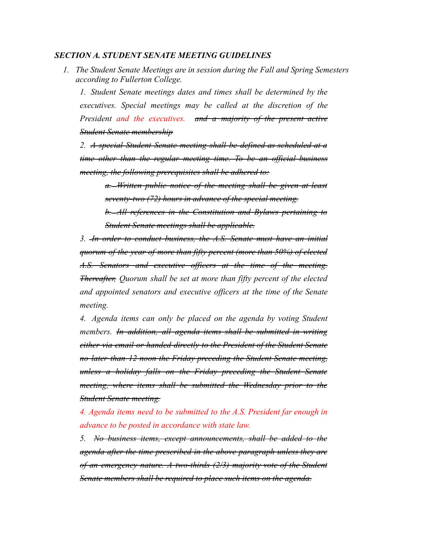#### *SECTION A. STUDENT SENATE MEETING GUIDELINES*

*1. The Student Senate Meetings are in session during the Fall and Spring Semesters according to Fullerton College.*

*1. Student Senate meetings dates and times shall be determined by the executives. Special meetings may be called at the discretion of the President and the executives. and a majority of the present active Student Senate membership*

*2. A special Student Senate meeting shall be defined as scheduled at a time other than the regular meeting time. To be an official business meeting, the following prerequisites shall be adhered to:*

*a. Written public notice of the meeting shall be given at least seventy-two (72) hours in advance of the special meeting.*

*b. All references in the Constitution and Bylaws pertaining to Student Senate meetings shall be applicable.*

*3. In order to conduct business, the A.S. Senate must have an initial quorum of the year of more than fifty percent (more than 50%) of elected A.S. Senators and executive officers at the time of the meeting. Thereafter, Quorum shall be set at more than fifty percent of the elected and appointed senators and executive officers at the time of the Senate meeting.*

*4. Agenda items can only be placed on the agenda by voting Student members. In addition, all agenda items shall be submitted in writing either via email or handed directly to the President of the Student Senate no later than 12 noon the Friday preceding the Student Senate meeting, unless a holiday falls on the Friday preceding the Student Senate meeting, where items shall be submitted the Wednesday prior to the Student Senate meeting.*

*4. Agenda items need to be submitted to the A.S. President far enough in advance to be posted in accordance with state law.*

*5. No business items, except announcements, shall be added to the agenda after the time prescribed in the above paragraph unless they are of an emergency nature. A two-thirds (2/3) majority vote of the Student Senate members shall be required to place such items on the agenda.*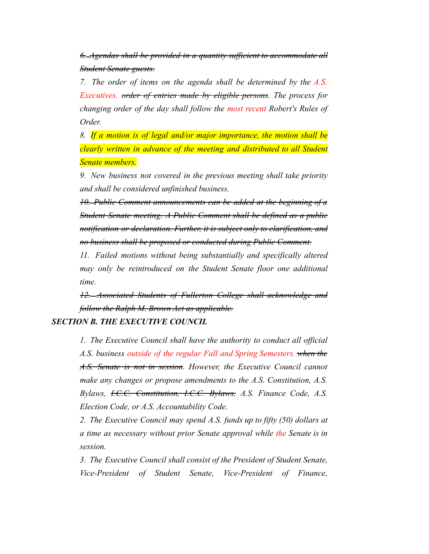*6. Agendas shall be provided in a quantity sufficient to accommodate all Student Senate guests.*

*7. The order of items on the agenda shall be determined by the A.S. Executives. order of entries made by eligible persons. The process for changing order of the day shall follow the most recent Robert's Rules of Order.*

*8. If a motion is of legal and/or major importance, the motion shall be clearly written in advance of the meeting and distributed to all Student Senate members.*

*9. New business not covered in the previous meeting shall take priority and shall be considered unfinished business.*

*10. Public Comment announcements can be added at the beginning of a Student Senate meeting. A Public Comment shall be defined as a public notification or declaration. Further, it is subject only to clarification, and no business shall be proposed or conducted during Public Comment.*

*11. Failed motions without being substantially and specifically altered may only be reintroduced on the Student Senate floor one additional time.*

*12. Associated Students of Fullerton College shall acknowledge and follow the Ralph M. Brown Act as applicable.*

#### *SECTION B. THE EXECUTIVE COUNCIL*

*1. The Executive Council shall have the authority to conduct all official A.S. business outside of the regular Fall and Spring Semesters. when the A.S. Senate is not in session. However, the Executive Council cannot make any changes or propose amendments to the A.S. Constitution, A.S. Bylaws, I.C.C. Constitution, I.C.C. Bylaws, A.S. Finance Code, A.S. Election Code, or A.S. Accountability Code.*

*2. The Executive Council may spend A.S. funds up to fifty (50) dollars at a time as necessary without prior Senate approval while the Senate is in session.*

*3. The Executive Council shall consist of the President of Student Senate, Vice-President of Student Senate, Vice-President of Finance,*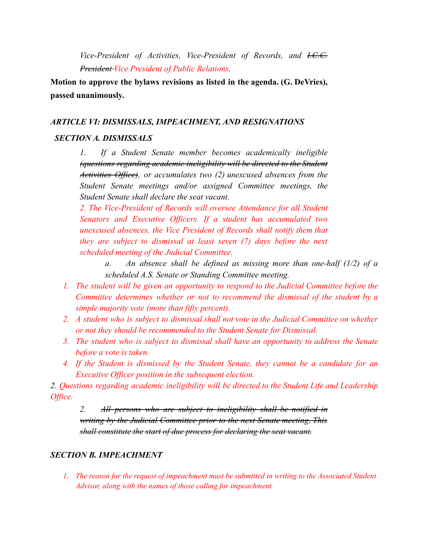*Vice-President of Activities, Vice-President of Records, and I.C.C. President Vice President of Public Relations.*

**Motion to approve the bylaws revisions as listed in the agenda. (G. DeVries), passed unanimously.**

#### *ARTICLE VI: DISMISSALS, IMPEACHMENT, AND RESIGNATIONS*

#### *SECTION A. DISMISSALS*

*1. If a Student Senate member becomes academically ineligible (questions regarding academic ineligibility will be directed to the Student Activities Office), or accumulates two (2) unexcused absences from the Student Senate meetings and/or assigned Committee meetings, the Student Senate shall declare the seat vacant.*

*2. The Vice-President of Records will oversee Attendance for all Student Senators and Executive Officers. If a student has accumulated two unexcused absences, the Vice President of Records shall notify them that they are subject to dismissal at least seven (7) days before the next scheduled meeting of the Judicial Committee.*

*a. An absence shall be defined as missing more than one-half (1/2) of a scheduled A.S. Senate or Standing Committee meeting.*

- *1. The student will be given an opportunity to respond to the Judicial Committee before the Committee determines whether or not to recommend the dismissal of the student by a simple majority vote (more than fifty percent).*
- *2. A student who is subject to dismissal shall not vote in the Judicial Committee on whether or not they should be recommended to the Student Senate for Dismissal.*
- *3. The student who is subject to dismissal shall have an opportunity to address the Senate before a vote is taken.*
- *4. If the Student is dismissed by the Student Senate, they cannot be a candidate for an Executive Officer position in the subsequent election.*

*2. Questions regarding academic ineligibility will be directed to the Student Life and Leadership Office.*

*2. All persons who are subject to ineligibility shall be notified in writing by the Judicial Committee prior to the next Senate meeting. This shall constitute the start of due process for declaring the seat vacant.*

#### *SECTION B. IMPEACHMENT*

*1. The reason for the request of impeachment must be submitted in writing to the Associated Student Advisor, along with the names of those calling for impeachment.*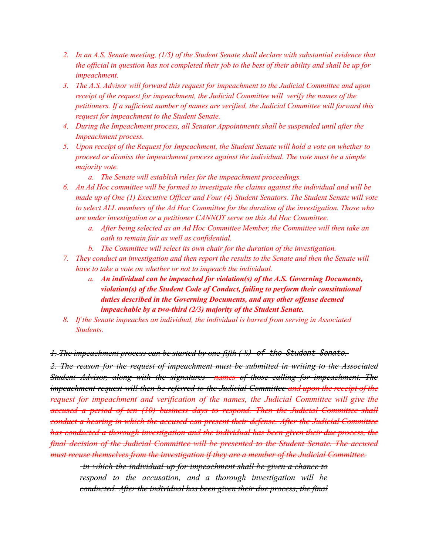- *2. In an A.S. Senate meeting, (1/5) of the Student Senate shall declare with substantial evidence that* the official in question has not completed their job to the best of their ability and shall be up for *impeachment.*
- *3. The A.S. Advisor will forward this request for impeachment to the Judicial Committee and upon receipt of the request for impeachment, the Judicial Committee will verify the names of the petitioners. If a suf icient number of names are verified, the Judicial Committee will forward this request for impeachment to the Student Senate.*
- *4. During the Impeachment process, all Senator Appointments shall be suspended until after the Impeachment process.*
- *5. Upon receipt of the Request for Impeachment, the Student Senate will hold a vote on whether to proceed or dismiss the impeachment process against the individual. The vote must be a simple majority vote.*
	- *a. The Senate will establish rules for the impeachment proceedings.*
- *6. An Ad Hoc committee will be formed to investigate the claims against the individual and will be made up of One (1) Executive Of icer and Four (4) Student Senators. The Student Senate will vote to select ALL members of the Ad Hoc Committee for the duration of the investigation. Those who are under investigation or a petitioner CANNOT serve on this Ad Hoc Committee.*
	- *a. After being selected as an Ad Hoc Committee Member, the Committee will then take an oath to remain fair as well as confidential.*
	- *b. The Committee will select its own chair for the duration of the investigation.*
- 7. They conduct an investigation and then report the results to the Senate and then the Senate will *have to take a vote on whether or not to impeach the individual.*
	- *a. An individual can be impeached for violation(s) of the A.S. Governing Documents, violation(s) of the Student Code of Conduct, failing to perform their constitutional duties described in the Governing Documents, and any other of ense deemed impeachable by a two-third (2/3) majority of the Student Senate.*
- *8. If the Senate impeaches an individual, the individual is barred from serving in Associated Students.*

*1. The impeachment process can be started by one-fifth (* ⅕) of the Student Senate.

*2. The reason for the request of impeachment must be submitted in writing to the Associated Student Advisor, along with the signatures names of those calling for impeachment. The impeachment request will then be referred to the Judicial Committee and upon the receipt of the request for impeachment and verification of the names, the Judicial Committee will give the accused a period of ten (10) business days to respond. Then the Judicial Committee shall conduct a hearing in which the accused can present their defense. After the Judicial Committee has conducted a thorough investigation and the individual has been given their due process, the final decision of the Judicial Committee will be presented to the Student Senate. The accused must recuse themselves from the investigation if they are a member of the Judicial Committee.*

*in which the individual up for impeachment shall be given a chance to respond to the accusation, and a thorough investigation will be conducted. After the individual has been given their due process, the final*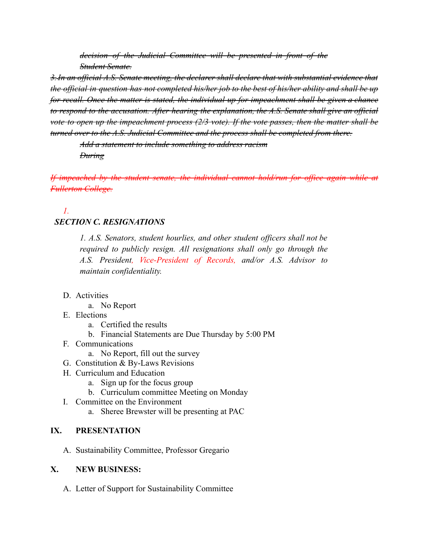*decision of the Judicial Committee will be presented in front of the Student Senate.*

*3.In an official A.S. Senate meeting, the declarer shall declare that with substantial evidence that* the official in question has not completed his/her job to the best of his/her ability and shall be up *for recall. Once the matter is stated, the individual up for impeachment shall be given a chance to respond to the accusation. After hearing the explanation, the A.S. Senate shall give an official vote to open up the impeachment process (2/3 vote). If the vote passes, then the matter shall be turned over to the A.S. Judicial Committee and the process shall be completed from there.*

*Add a statement to include something to address racism During*

*If impeached by the student senate, the individual cannot hold/run for office again while at Fullerton College.*

#### *1. SECTION C. RESIGNATIONS*

*1. A.S. Senators, student hourlies, and other student officers shall not be required to publicly resign. All resignations shall only go through the A.S. President, Vice-President of Records, and/or A.S. Advisor to maintain confidentiality.*

- D. Activities
	- a. No Report
- E. Elections
	- a. Certified the results
	- b. Financial Statements are Due Thursday by 5:00 PM
- F. Communications
	- a. No Report, fill out the survey
- G. Constitution & By-Laws Revisions
- H. Curriculum and Education
	- a. Sign up for the focus group
	- b. Curriculum committee Meeting on Monday
- I. Committee on the Environment
	- a. Sheree Brewster will be presenting at PAC

### **IX. PRESENTATION**

A. Sustainability Committee, Professor Gregario

### **X. NEW BUSINESS:**

A. Letter of Support for Sustainability Committee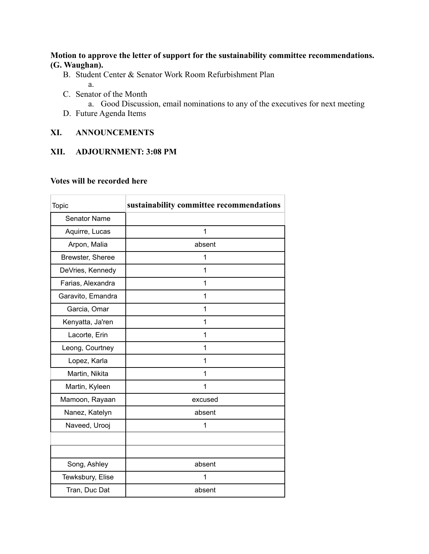### **Motion to approve the letter of support for the sustainability committee recommendations. (G. Waughan).**

- B. Student Center & Senator Work Room Refurbishment Plan a.
- C. Senator of the Month
	- a. Good Discussion, email nominations to any of the executives for next meeting
- D. Future Agenda Items

### **XI. ANNOUNCEMENTS**

### **XII. ADJOURNMENT: 3:08 PM**

#### **Votes will be recorded here**

| Topic               | sustainability committee recommendations |
|---------------------|------------------------------------------|
| <b>Senator Name</b> |                                          |
| Aquirre, Lucas      | 1                                        |
| Arpon, Malia        | absent                                   |
| Brewster, Sheree    | 1                                        |
| DeVries, Kennedy    | 1                                        |
| Farias, Alexandra   | 1                                        |
| Garavito, Emandra   | 1                                        |
| Garcia, Omar        | 1                                        |
| Kenyatta, Ja'ren    | 1                                        |
| Lacorte, Erin       | 1                                        |
| Leong, Courtney     | 1                                        |
| Lopez, Karla        | 1                                        |
| Martin, Nikita      | 1                                        |
| Martin, Kyleen      | 1                                        |
| Mamoon, Rayaan      | excused                                  |
| Nanez, Katelyn      | absent                                   |
| Naveed, Urooj       | 1                                        |
|                     |                                          |
|                     |                                          |
| Song, Ashley        | absent                                   |
| Tewksbury, Elise    | 1                                        |
| Tran, Duc Dat       | absent                                   |